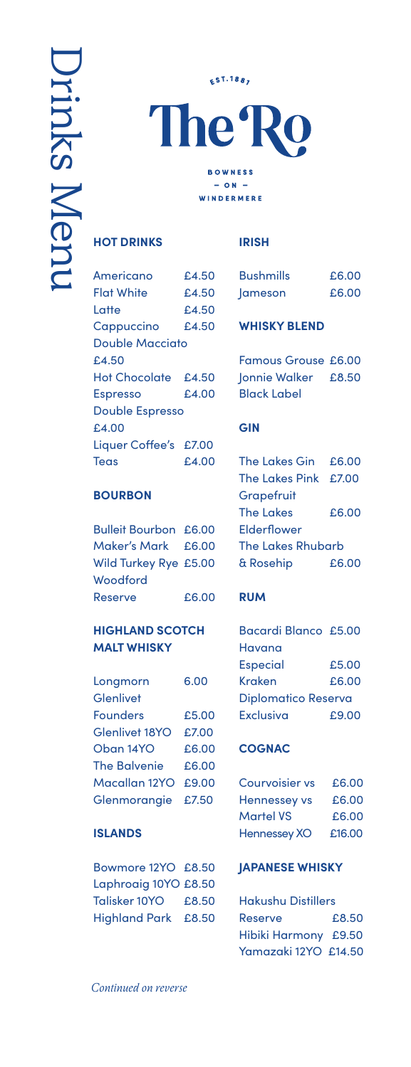The<sup>®</sup>  $\overline{\Omega}$ **BOWNESS**  $-$  ON  $-$ **WINDERMERE** 

**EST.1887** 

### **HOT DRINKS**

| Americano              | £4.50  |  |
|------------------------|--------|--|
| <b>Flat White</b>      | £4.50  |  |
| Latte                  | £4.50  |  |
| Cappuccino             | £4.50  |  |
| <b>Double Macciato</b> |        |  |
| £4.50                  |        |  |
| Hot Chocolate £4.50    |        |  |
| <b>Espresso</b>        | f.4.00 |  |
| <b>Double Espresso</b> |        |  |
| £4.00                  |        |  |
| Liquer Coffee's £7.00  |        |  |
| Teas                   | £4.00  |  |
|                        |        |  |

## **BOURBON**

| <b>Bulleit Bourbon £6.00</b> |       |  |
|------------------------------|-------|--|
| Maker's Mark £6.00           |       |  |
| Wild Turkey Rye £5.00        |       |  |
| Woodford                     |       |  |
| Reserve                      | £6.00 |  |

## **HIGHLAND SCOTCH MALT WHISKY**

| Longmorn            | 6.00  |
|---------------------|-------|
| Glenlivet           |       |
| <b>Founders</b>     | £5.00 |
| Glenlivet 18YO      | £7.00 |
| Oban 14YO           | £6.00 |
| <b>The Balvenie</b> | £6.00 |
| Macallan 12YO       | £9.00 |
| Glenmorangie        | £7.50 |

# **ISLANDS**

| Bowmore 12YO £8.50   |       |
|----------------------|-------|
| Laphroaig 10YO £8.50 |       |
| Talisker 10YO        | £8.50 |
| Highland Park £8.50  |       |

#### **IRISH**

| <b>Bushmills</b> | £6.00 |
|------------------|-------|
| Jameson          | £6.00 |

# **WHISKY BLEND**

| <b>Famous Grouse £6.00</b> |  |
|----------------------------|--|
| Jonnie Walker £8.50        |  |
| <b>Black Label</b>         |  |

### **GIN**

| The Lakes Gin £6.00  |       |
|----------------------|-------|
| The Lakes Pink £7.00 |       |
| Grapefruit           |       |
| The Lakes            | £6.00 |
| Elderflower          |       |
| The Lakes Rhubarb    |       |
| & Rosehip            | £6.00 |

# **RUM**

| Bacardi Blanco £5.00       |       |  |
|----------------------------|-------|--|
| Havana                     |       |  |
| <b>Especial</b>            | £5.00 |  |
| Kraken                     | £6.00 |  |
| <b>Diplomatico Reserva</b> |       |  |
| Exclusiva                  | £9.00 |  |

## **COGNAC**

| Courvoisier vs      | £6.00  |
|---------------------|--------|
| Hennessey vs        | £6.00  |
| <b>Martel VS</b>    | £6.00  |
| <b>Hennessey XO</b> | £16.00 |

## **JAPANESE WHISKY**

| <b>Hakushu Distillers</b> |       |  |
|---------------------------|-------|--|
| Reserve                   | £8.50 |  |
| Hibiki Harmony £9.50      |       |  |
| Yamazaki 12YO £14.50      |       |  |